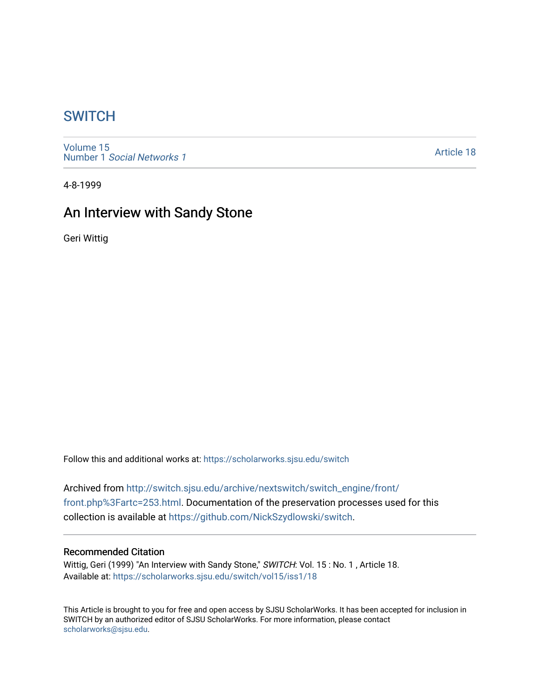# **SWITCH**

[Volume 15](https://scholarworks.sjsu.edu/switch/vol15) Number 1 [Social Networks 1](https://scholarworks.sjsu.edu/switch/vol15/iss1)

[Article 18](https://scholarworks.sjsu.edu/switch/vol15/iss1/18) 

4-8-1999

# An Interview with Sandy Stone

Geri Wittig

Follow this and additional works at: [https://scholarworks.sjsu.edu/switch](https://scholarworks.sjsu.edu/switch?utm_source=scholarworks.sjsu.edu%2Fswitch%2Fvol15%2Fiss1%2F18&utm_medium=PDF&utm_campaign=PDFCoverPages)

Archived from [http://switch.sjsu.edu/archive/nextswitch/switch\\_engine/front/](http://switch.sjsu.edu/archive/nextswitch/switch_engine/front/front.php%3Fartc=253.html) [front.php%3Fartc=253.html.](http://switch.sjsu.edu/archive/nextswitch/switch_engine/front/front.php%3Fartc=253.html) Documentation of the preservation processes used for this collection is available at [https://github.com/NickSzydlowski/switch.](https://github.com/NickSzydlowski/switch)

### Recommended Citation

Wittig, Geri (1999) "An Interview with Sandy Stone," SWITCH: Vol. 15: No. 1, Article 18. Available at: [https://scholarworks.sjsu.edu/switch/vol15/iss1/18](https://scholarworks.sjsu.edu/switch/vol15/iss1/18?utm_source=scholarworks.sjsu.edu%2Fswitch%2Fvol15%2Fiss1%2F18&utm_medium=PDF&utm_campaign=PDFCoverPages) 

This Article is brought to you for free and open access by SJSU ScholarWorks. It has been accepted for inclusion in SWITCH by an authorized editor of SJSU ScholarWorks. For more information, please contact [scholarworks@sjsu.edu](mailto:scholarworks@sjsu.edu).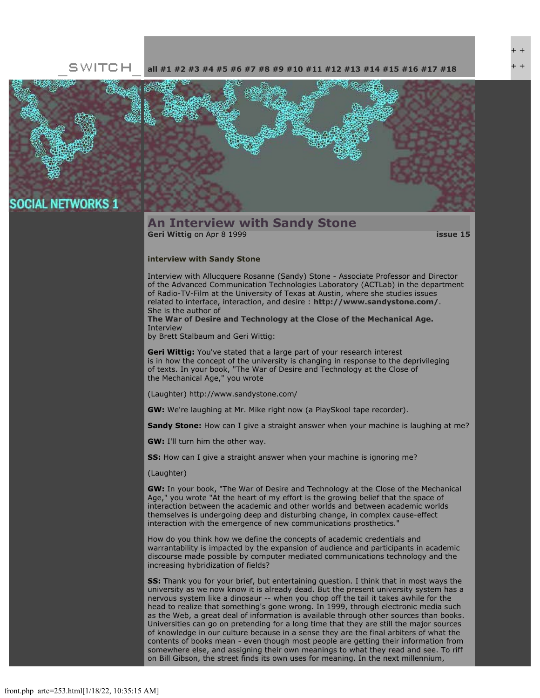#### SWITCH **[all](file:///Users/nszydlowski/Desktop/websites%20copy/Switch%20Journal/switch.sjsu.edu/archive/nextswitch/switch_engine/front/front.php.html) [#1](file:///Users/nszydlowski/Desktop/websites%20copy/Switch%20Journal/switch.sjsu.edu/archive/nextswitch/switch_engine/front/front.php_cat%3d5.html) [#2](file:///Users/nszydlowski/Desktop/websites%20copy/Switch%20Journal/switch.sjsu.edu/archive/nextswitch/switch_engine/front/front.php_cat%3d6.html) [#3](file:///Users/nszydlowski/Desktop/websites%20copy/Switch%20Journal/switch.sjsu.edu/archive/nextswitch/switch_engine/front/front.php_cat%3d7.html) [#4](file:///Users/nszydlowski/Desktop/websites%20copy/Switch%20Journal/switch.sjsu.edu/archive/nextswitch/switch_engine/front/front.php_cat%3d8.html) [#5](file:///Users/nszydlowski/Desktop/websites%20copy/Switch%20Journal/switch.sjsu.edu/archive/nextswitch/switch_engine/front/front.php_cat%3d9.html) [#6](file:///Users/nszydlowski/Desktop/websites%20copy/Switch%20Journal/switch.sjsu.edu/archive/nextswitch/switch_engine/front/front.php_cat%3d10.html) [#7](file:///Users/nszydlowski/Desktop/websites%20copy/Switch%20Journal/switch.sjsu.edu/archive/nextswitch/switch_engine/front/front.php_cat%3d11.html) [#8](file:///Users/nszydlowski/Desktop/websites%20copy/Switch%20Journal/switch.sjsu.edu/archive/nextswitch/switch_engine/front/front.php_cat%3d12.html) [#9](file:///Users/nszydlowski/Desktop/websites%20copy/Switch%20Journal/switch.sjsu.edu/archive/nextswitch/switch_engine/front/front.php_cat%3d13.html) [#10](file:///Users/nszydlowski/Desktop/websites%20copy/Switch%20Journal/switch.sjsu.edu/archive/nextswitch/switch_engine/front/front.php_cat%3d14.html) [#11](file:///Users/nszydlowski/Desktop/websites%20copy/Switch%20Journal/switch.sjsu.edu/archive/nextswitch/switch_engine/front/front.php_cat%3d15.html) [#12](file:///Users/nszydlowski/Desktop/websites%20copy/Switch%20Journal/switch.sjsu.edu/archive/nextswitch/switch_engine/front/front.php_cat%3d16.html) [#13](file:///Users/nszydlowski/Desktop/websites%20copy/Switch%20Journal/switch.sjsu.edu/archive/nextswitch/switch_engine/front/front.php_cat%3d17.html) [#14](file:///Users/nszydlowski/Desktop/websites%20copy/Switch%20Journal/switch.sjsu.edu/archive/nextswitch/switch_engine/front/front.php_cat%3d18.html) [#15](file:///Users/nszydlowski/Desktop/websites%20copy/Switch%20Journal/switch.sjsu.edu/archive/nextswitch/switch_engine/front/front.php_cat%3d19.html) [#16](file:///Users/nszydlowski/Desktop/websites%20copy/Switch%20Journal/switch.sjsu.edu/archive/nextswitch/switch_engine/front/front.php_cat%3d20.html) [#17](file:///Users/nszydlowski/Desktop/websites%20copy/Switch%20Journal/switch.sjsu.edu/archive/nextswitch/switch_engine/front/front.php_cat%3d21.html) [#18](file:///Users/nszydlowski/Desktop/websites%20copy/Switch%20Journal/switch.sjsu.edu/archive/nextswitch/switch_engine/front/front.php_cat%3d44.html)**



## **SOCIAL NETWORKS 1**

### **An Interview with Sandy Stone [Geri Wittig](file:///Users/nszydlowski/Desktop/websites%20copy/Switch%20Journal/switch.sjsu.edu/archive/nextswitch/switch_engine/front/users.php_w%3d34.html)** on Apr 8 1999 **[issue 15](file:///Users/nszydlowski/Desktop/websites%20copy/Switch%20Journal/switch.sjsu.edu/archive/nextswitch/switch_engine/front/front.php_cat%3d19.html)**

#### **interview with Sandy Stone**

Interview with Allucquere Rosanne (Sandy) Stone - Associate Professor and Director of the Advanced Communication Technologies Laboratory (ACTLab) in the department of Radio-TV-Film at the University of Texas at Austin, where she studies issues related to interface, interaction, and desire : **<http://www.sandystone.com/>**. She is the author of

**[The War of Desire and Technology at the Close of the Mechanical Age.](http://www.amazon.com/exec/obidos/ASIN/0262193620/qid=927674682/sr=1-3/002-1688010-7408606)** Interview

by Brett Stalbaum and Geri Wittig:

**Geri Wittig:** You've stated that a large part of your research interest is in how the concept of the university is changing in response to the deprivileging of texts. In your book, "The War of Desire and Technology at the Close of the Mechanical Age," you wrote

(Laughter) http://www.sandystone.com/

**GW:** We're laughing at Mr. Mike right now (a PlaySkool tape recorder).

**Sandy Stone:** How can I give a straight answer when your machine is laughing at me?

**GW:** I'll turn him the other way.

**SS:** How can I give a straight answer when your machine is ignoring me?

(Laughter)

**GW:** In your book, "The War of Desire and Technology at the Close of the Mechanical Age," you wrote "At the heart of my effort is the growing belief that the space of interaction between the academic and other worlds and between academic worlds themselves is undergoing deep and disturbing change, in complex cause-effect interaction with the emergence of new communications prosthetics."

How do you think how we define the concepts of academic credentials and warrantability is impacted by the expansion of audience and participants in academic discourse made possible by computer mediated communications technology and the increasing hybridization of fields?

**SS:** Thank you for your brief, but entertaining question. I think that in most ways the university as we now know it is already dead. But the present university system has a nervous system like a dinosaur -- when you chop off the tail it takes awhile for the head to realize that something's gone wrong. In 1999, through electronic media such as the Web, a great deal of information is available through other sources than books. Universities can go on pretending for a long time that they are still the major sources of knowledge in our culture because in a sense they are the final arbiters of what the contents of books mean - even though most people are getting their information from somewhere else, and assigning their own meanings to what they read and see. To riff on Bill Gibson, the street finds its own uses for meaning. In the next millennium,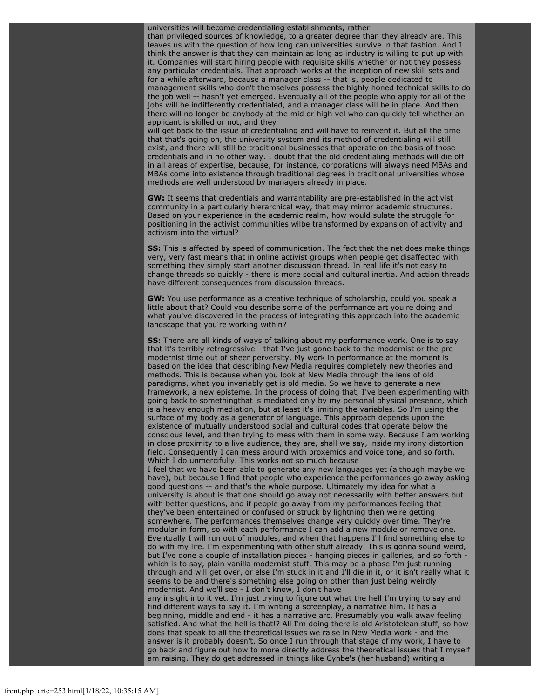universities will become credentialing establishments, rather

than privileged sources of knowledge, to a greater degree than they already are. This leaves us with the question of how long can universities survive in that fashion. And I think the answer is that they can maintain as long as industry is willing to put up with it. Companies will start hiring people with requisite skills whether or not they possess any particular credentials. That approach works at the inception of new skill sets and for a while afterward, because a manager class -- that is, people dedicated to management skills who don't themselves possess the highly honed technical skills to do the job well -- hasn't yet emerged. Eventually all of the people who apply for all of the jobs will be indifferently credentialed, and a manager class will be in place. And then there will no longer be anybody at the mid or high vel who can quickly tell whether an applicant is skilled or not, and they

will get back to the issue of credentialing and will have to reinvent it. But all the time that that's going on, the university system and its method of credentialing will still exist, and there will still be traditional businesses that operate on the basis of those credentials and in no other way. I doubt that the old credentialing methods will die off in all areas of expertise, because, for instance, corporations will always need MBAs and MBAs come into existence through traditional degrees in traditional universities whose methods are well understood by managers already in place.

**GW:** It seems that credentials and warrantability are pre-established in the activist community in a particularly hierarchical way, that may mirror academic structures. Based on your experience in the academic realm, how would sulate the struggle for positioning in the activist communities wilbe transformed by expansion of activity and activism into the virtual?

**SS:** This is affected by speed of communication. The fact that the net does make things very, very fast means that in online activist groups when people get disaffected with something they simply start another discussion thread. In real life it's not easy to change threads so quickly - there is more social and cultural inertia. And action threads have different consequences from discussion threads.

**GW:** You use performance as a creative technique of scholarship, could you speak a little about that? Could you describe some of the performance art you're doing and what you've discovered in the process of integrating this approach into the academic landscape that you're working within?

**SS:** There are all kinds of ways of talking about my performance work. One is to say that it's terribly retrogressive - that I've just gone back to the modernist or the premodernist time out of sheer perversity. My work in performance at the moment is based on the idea that describing New Media requires completely new theories and methods. This is because when you look at New Media through the lens of old paradigms, what you invariably get is old media. So we have to generate a new framework, a new episteme. In the process of doing that, I've been experimenting with going back to somethingthat is mediated only by my personal physical presence, which is a heavy enough mediation, but at least it's limiting the variables. So I'm using the surface of my body as a generator of language. This approach depends upon the existence of mutually understood social and cultural codes that operate below the conscious level, and then trying to mess with them in some way. Because I am working in close proximity to a live audience, they are, shall we say, inside my irony distortion field. Consequently I can mess around with proxemics and voice tone, and so forth. Which I do unmercifully. This works not so much because

I feel that we have been able to generate any new languages yet (although maybe we have), but because I find that people who experience the performances go away asking good questions -- and that's the whole purpose. Ultimately my idea for what a university is about is that one should go away not necessarily with better answers but with better questions, and if people go away from my performances feeling that they've been entertained or confused or struck by lightning then we're getting somewhere. The performances themselves change very quickly over time. They're modular in form, so with each performance I can add a new module or remove one. Eventually I will run out of modules, and when that happens I'll find something else to do with my life. I'm experimenting with other stuff already. This is gonna sound weird, but I've done a couple of installation pieces - hanging pieces in galleries, and so forth which is to say, plain vanilla modernist stuff. This may be a phase I'm just running through and will get over, or else I'm stuck in it and I'll die in it, or it isn't really what it seems to be and there's something else going on other than just being weirdly modernist. And we'll see - I don't know, I don't have

any insight into it yet. I'm just trying to figure out what the hell I'm trying to say and find different ways to say it. I'm writing a screenplay, a narrative film. It has a beginning, middle and end - it has a narrative arc. Presumably you walk away feeling satisfied. And what the hell is that!? All I'm doing there is old Aristotelean stuff, so how does that speak to all the theoretical issues we raise in New Media work - and the answer is it probably doesn't. So once I run through that stage of my work, I have to go back and figure out how to more directly address the theoretical issues that I myself am raising. They do get addressed in things like Cynbe's (her husband) writing a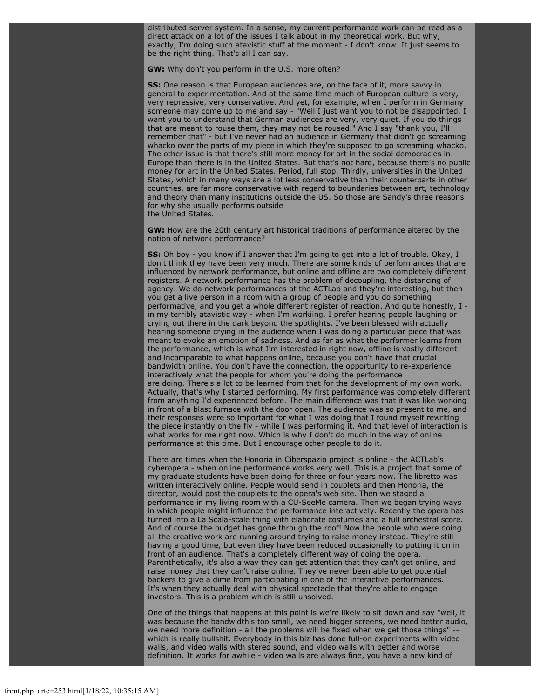distributed server system. In a sense, my current performance work can be read as a direct attack on a lot of the issues I talk about in my theoretical work. But why, exactly, I'm doing such atavistic stuff at the moment - I don't know. It just seems to be the right thing. That's all I can say.

**GW:** Why don't you perform in the U.S. more often?

**SS:** One reason is that European audiences are, on the face of it, more savvy in general to experimentation. And at the same time much of European culture is very, very repressive, very conservative. And yet, for example, when I perform in Germany someone may come up to me and say - "Well I just want you to not be disappointed, I want you to understand that German audiences are very, very quiet. If you do things that are meant to rouse them, they may not be roused." And I say "thank you, I'll remember that" - but I've never had an audience in Germany that didn't go screaming whacko over the parts of my piece in which they're supposed to go screaming whacko. The other issue is that there's still more money for art in the social democracies in Europe than there is in the United States. But that's not hard, because there's no public money for art in the United States. Period, full stop. Thirdly, universities in the United States, which in many ways are a lot less conservative than their counterparts in other countries, are far more conservative with regard to boundaries between art, technology and theory than many institutions outside the US. So those are Sandy's three reasons for why she usually performs outside the United States.

**GW:** How are the 20th century art historical traditions of performance altered by the notion of network performance?

**SS:** Oh boy - you know if I answer that I'm going to get into a lot of trouble. Okay, I don't think they have been very much. There are some kinds of performances that are influenced by network performance, but online and offline are two completely different registers. A network performance has the problem of decoupling, the distancing of agency. We do network performances at the ACTLab and they're interesting, but then you get a live person in a room with a group of people and you do something performative, and you get a whole different register of reaction. And quite honestly, I in my terribly atavistic way - when I'm workiing, I prefer hearing people laughing or crying out there in the dark beyond the spotlights. I've been blessed with actually hearing someone crying in the audience when I was doing a particular piece that was meant to evoke an emotion of sadness. And as far as what the performer learns from the performance, which is what I'm interested in right now, offline is vastly different and incomparable to what happens online, because you don't have that crucial bandwidth online. You don't have the connection, the opportunity to re-experience interactively what the people for whom you're doing the performance are doing. There's a lot to be learned from that for the development of my own work. Actually, that's why I started performing. My first performance was completely different from anything I'd experienced before. The main difference was that it was like working in front of a blast furnace with the door open. The audience was so present to me, and their responses were so important for what I was doing that I found myself rewriting the piece instantly on the fly - while I was performing it. And that level of interaction is what works for me right now. Which is why I don't do much in the way of online performance at this time. But I encourage other people to do it.

There are times when the Honoria in Ciberspazio project is online - the ACTLab's cyberopera - when online performance works very well. This is a project that some of my graduate students have been doing for three or four years now. The libretto was written interactively online. People would send in couplets and then Honoria, the director, would post the couplets to the opera's web site. Then we staged a performance in my living room with a CU-SeeMe camera. Then we began trying ways in which people might influence the performance interactively. Recently the opera has turned into a La Scala-scale thing with elaborate costumes and a full orchestral score. And of course the budget has gone through the roof! Now the people who were doing all the creative work are running around trying to raise money instead. They're still having a good time, but even they have been reduced occasionally to putting it on in front of an audience. That's a completely different way of doing the opera. Parenthetically, it's also a way they can get attention that they can't get online, and raise money that they can't raise online. They've never been able to get potential backers to give a dime from participating in one of the interactive performances. It's when they actually deal with physical spectacle that they're able to engage investors. This is a problem which is still unsolved.

One of the things that happens at this point is we're likely to sit down and say "well, it was because the bandwidth's too small, we need bigger screens, we need better audio, we need more definition - all the problems will be fixed when we get those things" which is really bullshit. Everybody in this biz has done full-on experiments with video walls, and video walls with stereo sound, and video walls with better and worse definition. It works for awhile - video walls are always fine, you have a new kind of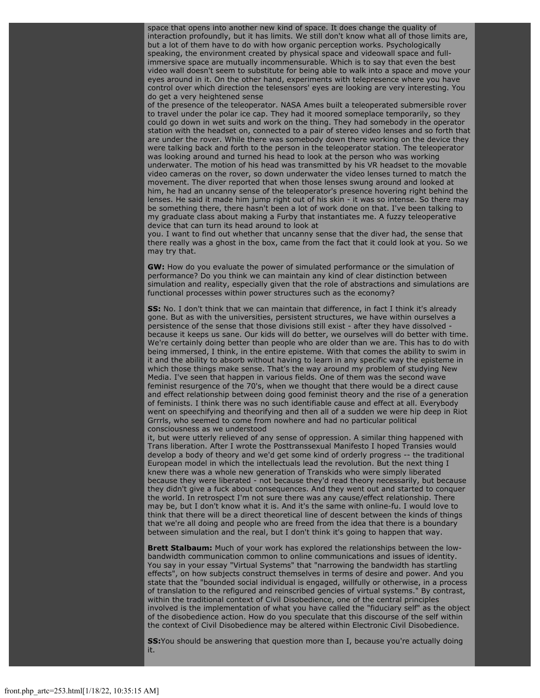space that opens into another new kind of space. It does change the quality of interaction profoundly, but it has limits. We still don't know what all of those limits are, but a lot of them have to do with how organic perception works. Psychologically speaking, the environment created by physical space and videowall space and fullimmersive space are mutually incommensurable. Which is to say that even the best video wall doesn't seem to substitute for being able to walk into a space and move your eyes around in it. On the other hand, experiments with telepresence where you have control over which direction the telesensors' eyes are looking are very interesting. You do get a very heightened sense

of the presence of the teleoperator. NASA Ames built a teleoperated submersible rover to travel under the polar ice cap. They had it moored someplace temporarily, so they could go down in wet suits and work on the thing. They had somebody in the operator station with the headset on, connected to a pair of stereo video lenses and so forth that are under the rover. While there was somebody down there working on the device they were talking back and forth to the person in the teleoperator station. The teleoperator was looking around and turned his head to look at the person who was working underwater. The motion of his head was transmitted by his VR headset to the movable video cameras on the rover, so down underwater the video lenses turned to match the movement. The diver reported that when those lenses swung around and looked at him, he had an uncanny sense of the teleoperator's presence hovering right behind the lenses. He said it made him jump right out of his skin - it was so intense. So there may be something there, there hasn't been a lot of work done on that. I've been talking to my graduate class about making a Furby that instantiates me. A fuzzy teleoperative device that can turn its head around to look at

you. I want to find out whether that uncanny sense that the diver had, the sense that there really was a ghost in the box, came from the fact that it could look at you. So we may try that.

**GW:** How do you evaluate the power of simulated performance or the simulation of performance? Do you think we can maintain any kind of clear distinction between simulation and reality, especially given that the role of abstractions and simulations are functional processes within power structures such as the economy?

**SS:** No. I don't think that we can maintain that difference, in fact I think it's already gone. But as with the universities, persistent structures, we have within ourselves a persistence of the sense that those divisions still exist - after they have dissolved because it keeps us sane. Our kids will do better, we ourselves will do better with time. We're certainly doing better than people who are older than we are. This has to do with being immersed, I think, in the entire episteme. With that comes the ability to swim in it and the ability to absorb without having to learn in any specific way the episteme in which those things make sense. That's the way around my problem of studying New Media. I've seen that happen in various fields. One of them was the second wave feminist resurgence of the 70's, when we thought that there would be a direct cause and effect relationship between doing good feminist theory and the rise of a generation of feminists. I think there was no such identifiable cause and effect at all. Everybody went on speechifying and theorifying and then all of a sudden we were hip deep in Riot Grrrls, who seemed to come from nowhere and had no particular political consciousness as we understood

it, but were utterly relieved of any sense of oppression. A similar thing happened with Trans liberation. After I wrote the Posttranssexual Manifesto I hoped Transies would develop a body of theory and we'd get some kind of orderly progress -- the traditional European model in which the intellectuals lead the revolution. But the next thing I knew there was a whole new generation of Transkids who were simply liberated because they were liberated - not because they'd read theory necessarily, but because they didn't give a fuck about consequences. And they went out and started to conquer the world. In retrospect I'm not sure there was any cause/effect relationship. There may be, but I don't know what it is. And it's the same with online-fu. I would love to think that there will be a direct theoretical line of descent between the kinds of things that we're all doing and people who are freed from the idea that there is a boundary between simulation and the real, but I don't think it's going to happen that way.

**Brett Stalbaum:** Much of your work has explored the relationships between the lowbandwidth communication common to online communications and issues of identity. You say in your essay "Virtual Systems" that "narrowing the bandwidth has startling effects", on how subjects construct themselves in terms of desire and power. And you state that the "bounded social individual is engaged, willfully or otherwise, in a process of translation to the refigured and reinscribed gencies of virtual systems." By contrast, within the traditional context of Civil Disobedience, one of the central principles involved is the implementation of what you have called the "fiduciary self" as the object of the disobedience action. How do you speculate that this discourse of the self within the context of Civil Disobedience may be altered within Electronic Civil Disobedience.

**SS:**You should be answering that question more than I, because you're actually doing it.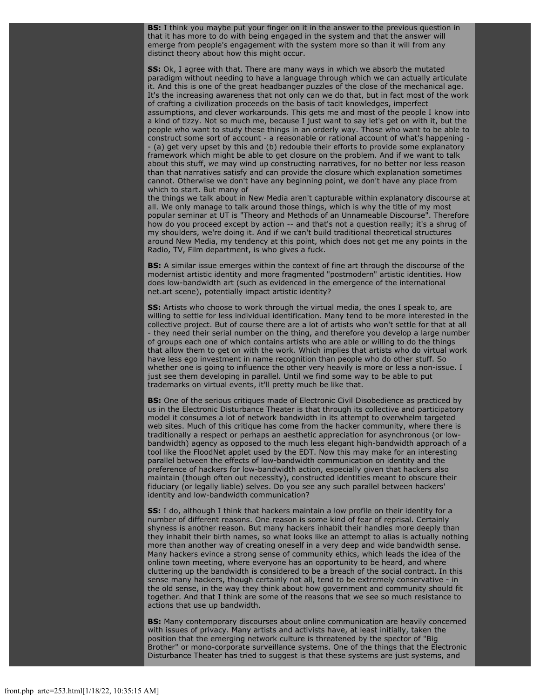**BS:** I think you maybe put your finger on it in the answer to the previous question in that it has more to do with being engaged in the system and that the answer will emerge from people's engagement with the system more so than it will from any distinct theory about how this might occur.

**SS:** Ok, I agree with that. There are many ways in which we absorb the mutated paradigm without needing to have a language through which we can actually articulate it. And this is one of the great headbanger puzzles of the close of the mechanical age. It's the increasing awareness that not only can we do that, but in fact most of the work of crafting a civilization proceeds on the basis of tacit knowledges, imperfect assumptions, and clever workarounds. This gets me and most of the people I know into a kind of tizzy. Not so much me, because I just want to say let's get on with it, but the people who want to study these things in an orderly way. Those who want to be able to construct some sort of account - a reasonable or rational account of what's happening -- (a) get very upset by this and (b) redouble their efforts to provide some explanatory framework which might be able to get closure on the problem. And if we want to talk about this stuff, we may wind up constructing narratives, for no better nor less reason than that narratives satisfy and can provide the closure which explanation sometimes cannot. Otherwise we don't have any beginning point, we don't have any place from which to start. But many of

the things we talk about in New Media aren't capturable within explanatory discourse at all. We only manage to talk around those things, which is why the title of my most popular seminar at UT is "Theory and Methods of an Unnameable Discourse". Therefore how do you proceed except by action -- and that's not a question really; it's a shrug of my shoulders, we're doing it. And if we can't build traditional theoretical structures around New Media, my tendency at this point, which does not get me any points in the Radio, TV, Film department, is who gives a fuck.

**BS:** A similar issue emerges within the context of fine art through the discourse of the modernist artistic identity and more fragmented "postmodern" artistic identities. How does low-bandwidth art (such as evidenced in the emergence of the international net.art scene), potentially impact artistic identity?

**SS:** Artists who choose to work through the virtual media, the ones I speak to, are willing to settle for less individual identification. Many tend to be more interested in the collective project. But of course there are a lot of artists who won't settle for that at all - they need their serial number on the thing, and therefore you develop a large number of groups each one of which contains artists who are able or willing to do the things that allow them to get on with the work. Which implies that artists who do virtual work have less ego investment in name recognition than people who do other stuff. So whether one is going to influence the other very heavily is more or less a non-issue. I just see them developing in parallel. Until we find some way to be able to put trademarks on virtual events, it'll pretty much be like that.

**BS:** One of the serious critiques made of Electronic Civil Disobedience as practiced by us in the Electronic Disturbance Theater is that through its collective and participatory model it consumes a lot of network bandwidth in its attempt to overwhelm targeted web sites. Much of this critique has come from the hacker community, where there is traditionally a respect or perhaps an aesthetic appreciation for asynchronous (or lowbandwidth) agency as opposed to the much less elegant high-bandwidth approach of a tool like the FloodNet applet used by the EDT. Now this may make for an interesting parallel between the effects of low-bandwidth communication on identity and the preference of hackers for low-bandwidth action, especially given that hackers also maintain (though often out necessity), constructed identities meant to obscure their fiduciary (or legally liable) selves. Do you see any such parallel between hackers' identity and low-bandwidth communication?

**SS:** I do, although I think that hackers maintain a low profile on their identity for a number of different reasons. One reason is some kind of fear of reprisal. Certainly shyness is another reason. But many hackers inhabit their handles more deeply than they inhabit their birth names, so what looks like an attempt to alias is actually nothing more than another way of creating oneself in a very deep and wide bandwidth sense. Many hackers evince a strong sense of community ethics, which leads the idea of the online town meeting, where everyone has an opportunity to be heard, and where cluttering up the bandwidth is considered to be a breach of the social contract. In this sense many hackers, though certainly not all, tend to be extremely conservative - in the old sense, in the way they think about how government and community should fit together. And that I think are some of the reasons that we see so much resistance to actions that use up bandwidth.

**BS:** Many contemporary discourses about online communication are heavily concerned with issues of privacy. Many artists and activists have, at least initially, taken the position that the emerging network culture is threatened by the spector of "Big Brother" or mono-corporate surveillance systems. One of the things that the Electronic Disturbance Theater has tried to suggest is that these systems are just systems, and